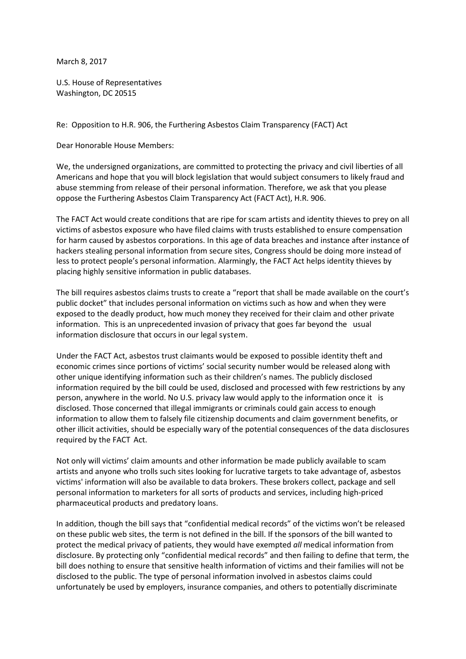March 8, 2017

U.S. House of Representatives Washington, DC 20515

Re: Opposition to H.R. 906, the Furthering Asbestos Claim Transparency (FACT) Act

Dear Honorable House Members:

We, the undersigned organizations, are committed to protecting the privacy and civil liberties of all Americans and hope that you will block legislation that would subject consumers to likely fraud and abuse stemming from release of their personal information. Therefore, we ask that you please oppose the Furthering Asbestos Claim Transparency Act (FACT Act), H.R. 906.

The FACT Act would create conditions that are ripe for scam artists and identity thieves to prey on all victims of asbestos exposure who have filed claims with trusts established to ensure compensation for harm caused by asbestos corporations. In this age of data breaches and instance after instance of hackers stealing personal information from secure sites, Congress should be doing more instead of less to protect people's personal information. Alarmingly, the FACT Act helps identity thieves by placing highly sensitive information in public databases.

The bill requires asbestos claims trusts to create a "report that shall be made available on the court's public docket" that includes personal information on victims such as how and when they were exposed to the deadly product, how much money they received for their claim and other private information. This is an unprecedented invasion of privacy that goes far beyond the usual information disclosure that occurs in our legal system.

Under the FACT Act, asbestos trust claimants would be exposed to possible identity theft and economic crimes since portions of victims' social security number would be released along with other unique identifying information such as their children's names. The publicly disclosed information required by the bill could be used, disclosed and processed with few restrictions by any person, anywhere in the world. No U.S. privacy law would apply to the information once it is disclosed. Those concerned that illegal immigrants or criminals could gain access to enough information to allow them to falsely file citizenship documents and claim government benefits, or other illicit activities, should be especially wary of the potential consequences of the data disclosures required by the FACT Act.

Not only will victims' claim amounts and other information be made publicly available to scam artists and anyone who trolls such sites looking for lucrative targets to take advantage of, asbestos victims' information will also be available to data brokers. These brokers collect, package and sell personal information to marketers for all sorts of products and services, including high-priced pharmaceutical products and predatory loans.

In addition, though the bill says that "confidential medical records" of the victims won't be released on these public web sites, the term is not defined in the bill. If the sponsors of the bill wanted to protect the medical privacy of patients, they would have exempted *all* medical information from disclosure. By protecting only "confidential medical records" and then failing to define that term, the bill does nothing to ensure that sensitive health information of victims and their families will not be disclosed to the public. The type of personal information involved in asbestos claims could unfortunately be used by employers, insurance companies, and others to potentially discriminate